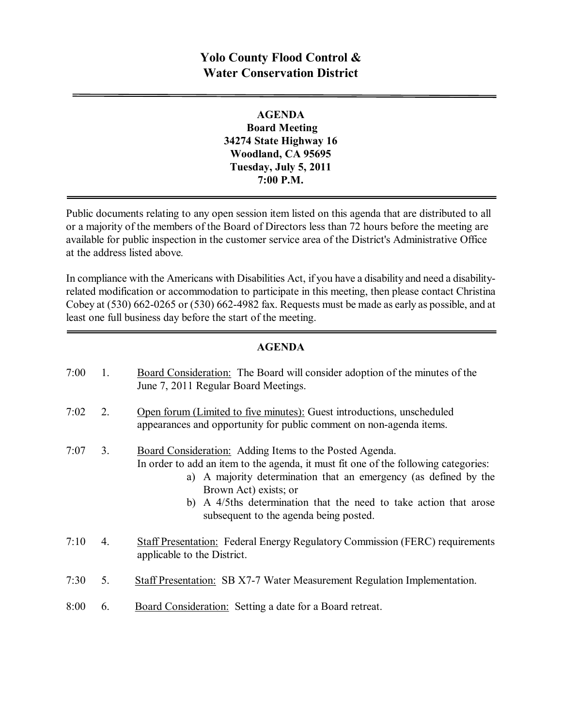## **Yolo County Flood Control & Water Conservation District**

**AGENDA Board Meeting 34274 State Highway 16 Woodland, CA 95695 Tuesday, July 5, 2011 7:00 P.M.**

Public documents relating to any open session item listed on this agenda that are distributed to all or a majority of the members of the Board of Directors less than 72 hours before the meeting are available for public inspection in the customer service area of the District's Administrative Office at the address listed above*.*

In compliance with the Americans with Disabilities Act, if you have a disability and need a disabilityrelated modification or accommodation to participate in this meeting, then please contact Christina Cobey at  $(530)$  662-0265 or  $(530)$  662-4982 fax. Requests must be made as early as possible, and at least one full business day before the start of the meeting.

## **AGENDA**

| 7:00 | 1.             | Board Consideration: The Board will consider adoption of the minutes of the<br>June 7, 2011 Regular Board Meetings.                                                                                                                                                                                                                                                  |
|------|----------------|----------------------------------------------------------------------------------------------------------------------------------------------------------------------------------------------------------------------------------------------------------------------------------------------------------------------------------------------------------------------|
| 7:02 | 2.             | Open forum (Limited to five minutes): Guest introductions, unscheduled<br>appearances and opportunity for public comment on non-agenda items.                                                                                                                                                                                                                        |
| 7:07 | 3 <sub>1</sub> | <b>Board Consideration:</b> Adding Items to the Posted Agenda.<br>In order to add an item to the agenda, it must fit one of the following categories:<br>A majority determination that an emergency (as defined by the<br>a)<br>Brown Act) exists; or<br>b) A 4/5ths determination that the need to take action that arose<br>subsequent to the agenda being posted. |
| 7:10 | 4.             | <b>Staff Presentation:</b> Federal Energy Regulatory Commission (FERC) requirements<br>applicable to the District.                                                                                                                                                                                                                                                   |
| 7:30 | 5.             | <b>Staff Presentation: SB X7-7 Water Measurement Regulation Implementation.</b>                                                                                                                                                                                                                                                                                      |
| 8:00 | 6.             | Board Consideration: Setting a date for a Board retreat.                                                                                                                                                                                                                                                                                                             |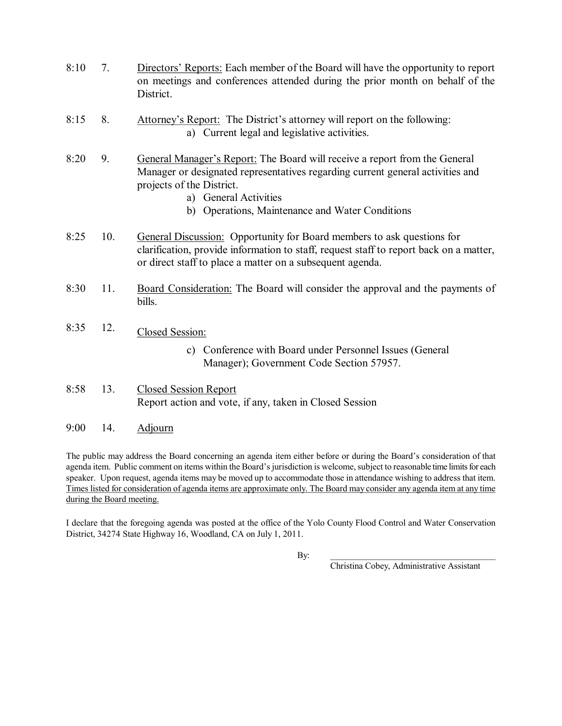- 8:10 7. Directors' Reports: Each member of the Board will have the opportunity to report on meetings and conferences attended during the prior month on behalf of the District.
- 8:15 8. Attorney's Report: The District's attorney will report on the following: a) Current legal and legislative activities.
- 8:20 9. General Manager's Report: The Board will receive a report from the General Manager or designated representatives regarding current general activities and projects of the District.
	- a) General Activities
	- b) Operations, Maintenance and Water Conditions
- 8:25 10. General Discussion: Opportunity for Board members to ask questions for clarification, provide information to staff, request staff to report back on a matter, or direct staff to place a matter on a subsequent agenda.
- 8:30 11. Board Consideration: The Board will consider the approval and the payments of bills.
- 8:35 12. Closed Session:
	- c) Conference with Board under Personnel Issues (General Manager); Government Code Section 57957.
- 8:58 13. Closed Session Report Report action and vote, if any, taken in Closed Session
- 9:00 14. Adjourn

The public may address the Board concerning an agenda item either before or during the Board's consideration of that agenda item. Public comment on items within the Board's jurisdiction is welcome, subject to reasonable time limits for each speaker. Upon request, agenda items may be moved up to accommodate those in attendance wishing to address that item. Times listed for consideration of agenda items are approximate only. The Board may consider any agenda item at any time during the Board meeting.

I declare that the foregoing agenda was posted at the office of the Yolo County Flood Control and Water Conservation District, 34274 State Highway 16, Woodland, CA on July 1, 2011.

By: \_\_\_\_\_\_\_\_\_\_\_\_\_\_\_\_\_\_\_\_\_\_\_\_\_\_\_\_\_\_\_\_\_\_\_\_\_

Christina Cobey, Administrative Assistant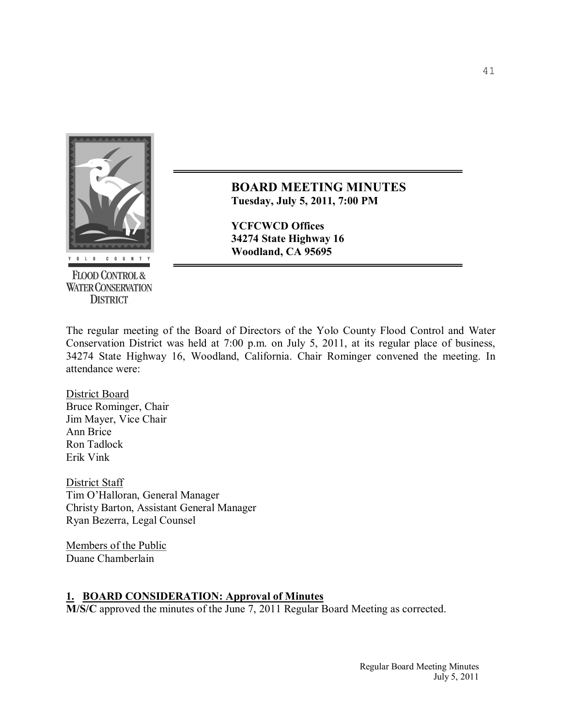

**FLOOD CONTROL & WATER CONSERVATION DISTRICT** 

**BOARD MEETING MINUTES Tuesday, July 5, 2011, 7:00 PM** 

**YCFCWCD Offices 34274 State Highway 16 Woodland, CA 95695**

The regular meeting of the Board of Directors of the Yolo County Flood Control and Water Conservation District was held at 7:00 p.m. on July 5, 2011, at its regular place of business, 34274 State Highway 16, Woodland, California. Chair Rominger convened the meeting. In attendance were:

District Board Bruce Rominger, Chair Jim Mayer, Vice Chair Ann Brice Ron Tadlock Erik Vink

District Staff Tim O'Halloran, General Manager Christy Barton, Assistant General Manager Ryan Bezerra, Legal Counsel

Members of the Public Duane Chamberlain

## **1. BOARD CONSIDERATION: Approval of Minutes**

**M/S/C** approved the minutes of the June 7, 2011 Regular Board Meeting as corrected.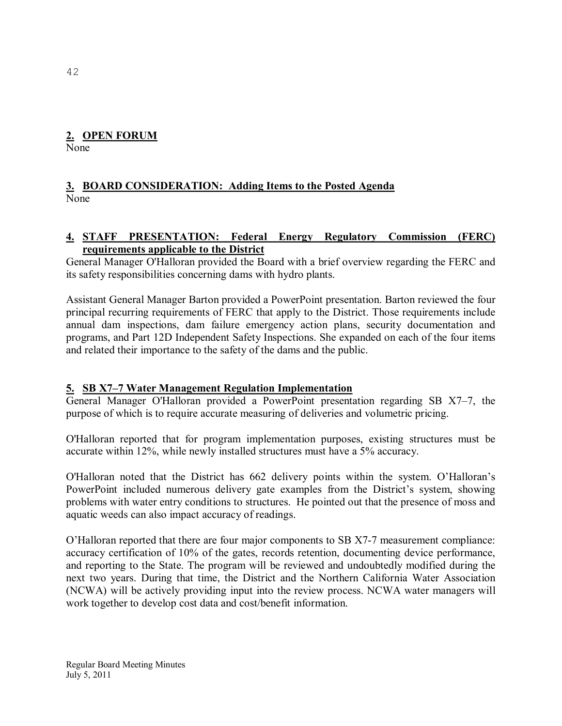## **2. OPEN FORUM**

None

## **3. BOARD CONSIDERATION: Adding Items to the Posted Agenda** None

## **4. STAFF PRESENTATION: Federal Energy Regulatory Commission (FERC) requirements applicable to the District**

General Manager O'Halloran provided the Board with a brief overview regarding the FERC and its safety responsibilities concerning dams with hydro plants.

Assistant General Manager Barton provided a PowerPoint presentation. Barton reviewed the four principal recurring requirements of FERC that apply to the District. Those requirements include annual dam inspections, dam failure emergency action plans, security documentation and programs, and Part 12D Independent Safety Inspections. She expanded on each of the four items and related their importance to the safety of the dams and the public.

## **5. SB X7–7 Water Management Regulation Implementation**

General Manager O'Halloran provided a PowerPoint presentation regarding SB X7–7, the purpose of which is to require accurate measuring of deliveries and volumetric pricing.

O'Halloran reported that for program implementation purposes, existing structures must be accurate within 12%, while newly installed structures must have a 5% accuracy.

O'Halloran noted that the District has 662 delivery points within the system. O'Halloran's PowerPoint included numerous delivery gate examples from the District's system, showing problems with water entry conditions to structures. He pointed out that the presence of moss and aquatic weeds can also impact accuracy of readings.

O'Halloran reported that there are four major components to SB X77 measurement compliance: accuracy certification of 10% of the gates, records retention, documenting device performance, and reporting to the State. The program will be reviewed and undoubtedly modified during the next two years. During that time, the District and the Northern California Water Association (NCWA) will be actively providing input into the review process. NCWA water managers will work together to develop cost data and cost/benefit information.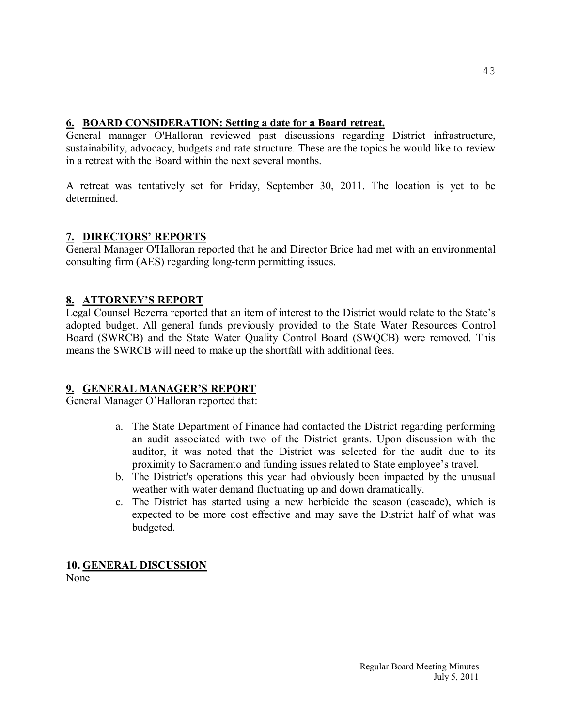## **6. BOARD CONSIDERATION: Setting a date for a Board retreat.**

General manager O'Halloran reviewed past discussions regarding District infrastructure, sustainability, advocacy, budgets and rate structure. These are the topics he would like to review in a retreat with the Board within the next several months.

A retreat was tentatively set for Friday, September 30, 2011. The location is yet to be determined.

## **7. DIRECTORS' REPORTS**

General Manager O'Halloran reported that he and Director Brice had met with an environmental consulting firm (AES) regarding long-term permitting issues.

## **8. ATTORNEY'S REPORT**

Legal Counsel Bezerra reported that an item of interest to the District would relate to the State's adopted budget. All general funds previously provided to the State Water Resources Control Board (SWRCB) and the State Water Quality Control Board (SWQCB) were removed. This means the SWRCB will need to make up the shortfall with additional fees.

## **9. GENERAL MANAGER'S REPORT**

General Manager O'Halloran reported that:

- a. The State Department of Finance had contacted the District regarding performing an audit associated with two of the District grants. Upon discussion with the auditor, it was noted that the District was selected for the audit due to its proximity to Sacramento and funding issues related to State employee's travel.
- b. The District's operations this year had obviously been impacted by the unusual weather with water demand fluctuating up and down dramatically.
- c. The District has started using a new herbicide the season (cascade), which is expected to be more cost effective and may save the District half of what was budgeted.

# **10. GENERAL DISCUSSION**

None